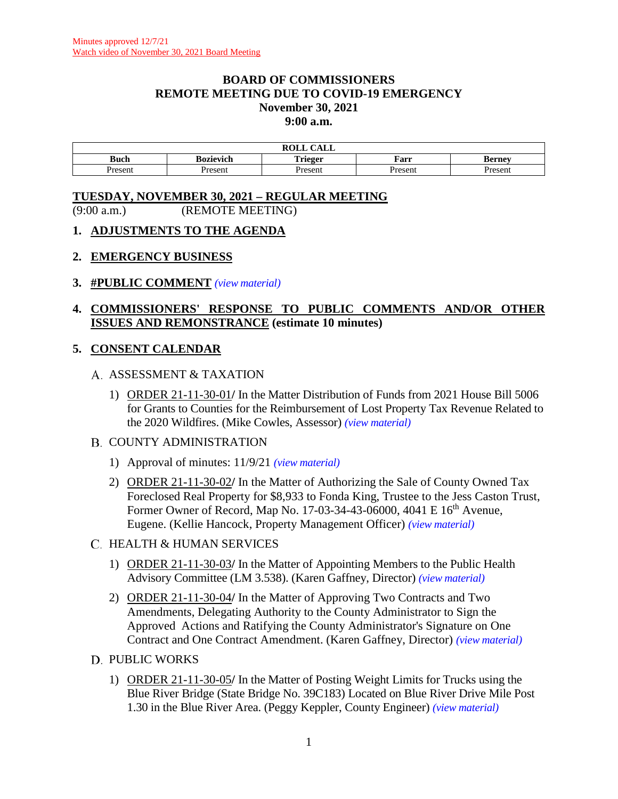## **BOARD OF COMMISSIONERS REMOTE MEETING DUE TO COVID-19 EMERGENCY November 30, 2021 9:00 a.m.**

|             |           | $\sim$<br>$\cdots$<br>CALL<br>WAN |        |         |
|-------------|-----------|-----------------------------------|--------|---------|
| <b>Buch</b> | Bozievich | æ<br>`rieger<br>$\cdots$          | Farr   | larnav  |
| resem       | Present   | Jrocon                            | Presen | Jroconi |

## **TUESDAY, NOVEMBER 30, 2021 – REGULAR MEETING** (9:00 a.m.) (REMOTE MEETING)

## **1. ADJUSTMENTS TO THE AGENDA**

#### **2. EMERGENCY BUSINESS**

#### **3. #PUBLIC COMMENT** *(view [material\)](http://www.lanecountyor.gov/UserFiles/Servers/Server_3585797/File/Government/BCC/2021/2021_AGENDAS/113021agenda/T.3.pdf)*

# **4. COMMISSIONERS' RESPONSE TO PUBLIC COMMENTS AND/OR OTHER ISSUES AND REMONSTRANCE (estimate 10 minutes)**

## **5. CONSENT CALENDAR**

## A. ASSESSMENT & TAXATION

1) ORDER 21-11-30-01**/** In the Matter Distribution of Funds from 2021 House Bill 5006 for Grants to Counties for the Reimbursement of Lost Property Tax Revenue Related to the 2020 Wildfires. (Mike Cowles, Assessor) *(view [material\)](http://www.lanecountyor.gov/UserFiles/Servers/Server_3585797/File/Government/BCC/2021/2021_AGENDAS/113021agenda/T.5.A.1.pdf)*

## B. COUNTY ADMINISTRATION

- 1) Approval of minutes: 11/9/21 *(view [material\)](http://www.lanecountyor.gov/UserFiles/Servers/Server_3585797/File/Government/BCC/2021/2021_AGENDAS/113021agenda/T.5.B.1.pdf)*
- 2) ORDER 21-11-30-02**/** In the Matter of Authorizing the Sale of County Owned Tax Foreclosed Real Property for \$8,933 to Fonda King, Trustee to the Jess Caston Trust, Former Owner of Record, Map No. 17-03-34-43-06000, 4041 E 16<sup>th</sup> Avenue, Eugene. (Kellie Hancock, Property Management Officer) *(view [material\)](http://www.lanecountyor.gov/UserFiles/Servers/Server_3585797/File/Government/BCC/2021/2021_AGENDAS/113021agenda/T.5.B.2.pdf)*

## C. HEALTH & HUMAN SERVICES

- 1) ORDER 21-11-30-03**/** In the Matter of Appointing Members to the Public Health Advisory Committee (LM 3.538). (Karen Gaffney, Director) *(view [material\)](http://www.lanecountyor.gov/UserFiles/Servers/Server_3585797/File/Government/BCC/2021/2021_AGENDAS/113021agenda/T.5.C.1.pdf)*
- 2) ORDER 21-11-30-04**/** In the Matter of Approving Two Contracts and Two Amendments, Delegating Authority to the County Administrator to Sign the Approved Actions and Ratifying the County Administrator's Signature on One Contract and One Contract Amendment. (Karen Gaffney, Director) *(view [material\)](http://www.lanecountyor.gov/UserFiles/Servers/Server_3585797/File/Government/BCC/2021/2021_AGENDAS/113021agenda/T.5.C.2.pdf)*
- D. PUBLIC WORKS
	- 1) ORDER 21-11-30-05**/** In the Matter of Posting Weight Limits for Trucks using the Blue River Bridge (State Bridge No. 39C183) Located on Blue River Drive Mile Post 1.30 in the Blue River Area. (Peggy Keppler, County Engineer) *(view [material\)](http://www.lanecountyor.gov/UserFiles/Servers/Server_3585797/File/Government/BCC/2021/2021_AGENDAS/113021agenda/T.5.D.1.pdf)*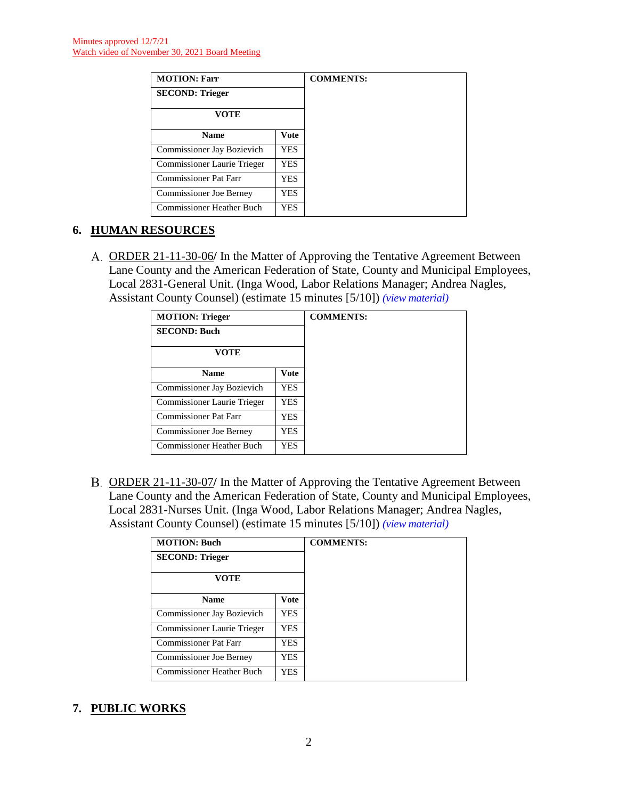| <b>MOTION: Farr</b>              |            |
|----------------------------------|------------|
| <b>SECOND: Trieger</b>           |            |
| VOTE                             |            |
| <b>Name</b>                      | Vote       |
| Commissioner Jay Bozievich       | <b>YES</b> |
| Commissioner Laurie Trieger      | <b>YES</b> |
| Commissioner Pat Farr            | YES.       |
| Commissioner Joe Berney          | <b>YES</b> |
| <b>Commissioner Heather Buch</b> | YES.       |

# **6. HUMAN RESOURCES**

ORDER 21-11-30-06**/** In the Matter of Approving the Tentative Agreement Between Lane County and the American Federation of State, County and Municipal Employees, Local 2831-General Unit. (Inga Wood, Labor Relations Manager; Andrea Nagles, Assistant County Counsel) (estimate 15 minutes [5/10]) *(view [material\)](http://www.lanecountyor.gov/UserFiles/Servers/Server_3585797/File/Government/BCC/2021/2021_AGENDAS/113021agenda/T.6.A.pdf)*

| <b>MOTION: Trieger</b>         |             | <b>COMMENTS:</b> |
|--------------------------------|-------------|------------------|
| <b>SECOND: Buch</b>            |             |                  |
| <b>VOTE</b>                    |             |                  |
| <b>Name</b>                    | <b>Vote</b> |                  |
| Commissioner Jay Bozievich     | YES         |                  |
| Commissioner Laurie Trieger    | YES.        |                  |
| <b>Commissioner Pat Farr</b>   | YES         |                  |
| <b>Commissioner Joe Berney</b> | YES         |                  |
| Commissioner Heather Buch      | YES.        |                  |

ORDER 21-11-30-07**/** In the Matter of Approving the Tentative Agreement Between Lane County and the American Federation of State, County and Municipal Employees, Local 2831-Nurses Unit. (Inga Wood, Labor Relations Manager; Andrea Nagles, Assistant County Counsel) (estimate 15 minutes [5/10]) *(view [material\)](http://www.lanecountyor.gov/UserFiles/Servers/Server_3585797/File/Government/BCC/2021/2021_AGENDAS/113021agenda/T.6.B.pdf)*

| <b>MOTION: Buch</b>              |             |
|----------------------------------|-------------|
| <b>SECOND: Trieger</b>           |             |
| <b>VOTE</b>                      |             |
| <b>Name</b>                      | <b>Vote</b> |
| Commissioner Jay Bozievich       | <b>YES</b>  |
| Commissioner Laurie Trieger      | YES.        |
| <b>Commissioner Pat Farr</b>     | YES.        |
| <b>Commissioner Joe Berney</b>   | YES         |
| <b>Commissioner Heather Buch</b> | YES.        |

# **7. PUBLIC WORKS**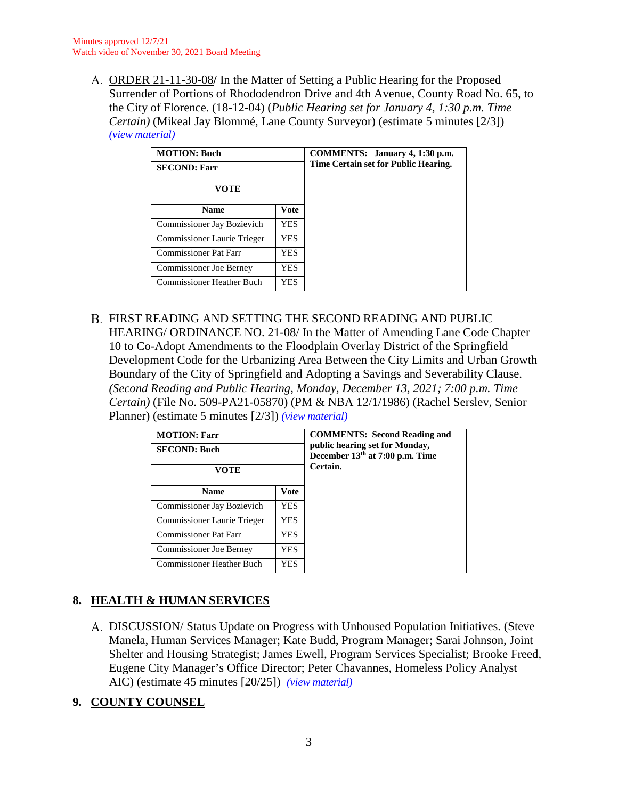ORDER 21-11-30-08**/** In the Matter of Setting a Public Hearing for the Proposed Surrender of Portions of Rhododendron Drive and 4th Avenue, County Road No. 65, to the City of Florence. (18-12-04) (*Public Hearing set for January 4, 1:30 p.m. Time Certain)* (Mikeal Jay Blommé, Lane County Surveyor) (estimate 5 minutes [2/3]) *(view [material\)](http://www.lanecountyor.gov/UserFiles/Servers/Server_3585797/File/Government/BCC/2021/2021_AGENDAS/113021agenda/T.7.A.pdf)*

| <b>MOTION: Buch</b><br><b>SECOND: Farr</b> |      | COMMENTS: January 4, 1:30 p.m.<br>Time Certain set for Public Hearing. |
|--------------------------------------------|------|------------------------------------------------------------------------|
| VOTE                                       |      |                                                                        |
| <b>Name</b>                                | Vote |                                                                        |
| Commissioner Jay Bozievich                 | YES. |                                                                        |
| Commissioner Laurie Trieger                | YES. |                                                                        |
| <b>Commissioner Pat Farr</b>               | YES  |                                                                        |
| <b>Commissioner Joe Berney</b>             | YES  |                                                                        |
| <b>Commissioner Heather Buch</b>           | YES  |                                                                        |

FIRST READING AND SETTING THE SECOND READING AND PUBLIC HEARING/ ORDINANCE NO. 21-08/ In the Matter of Amending Lane Code Chapter 10 to Co-Adopt Amendments to the Floodplain Overlay District of the Springfield Development Code for the Urbanizing Area Between the City Limits and Urban Growth Boundary of the City of Springfield and Adopting a Savings and Severability Clause. *(Second Reading and Public Hearing, Monday, December 13, 2021; 7:00 p.m. Time Certain)* (File No. 509-PA21-05870) (PM & NBA 12/1/1986) (Rachel Serslev, Senior Planner) (estimate 5 minutes [2/3]) *(view [material\)](http://www.lanecountyor.gov/UserFiles/Servers/Server_3585797/File/Government/BCC/2021/2021_AGENDAS/113021agenda/T.7.B.pdf)*

| <b>MOTION: Farr</b><br><b>SECOND: Buch</b><br><b>VOTE</b> |      | <b>COMMENTS:</b> Second Reading and<br>public hearing set for Monday,<br>December 13 <sup>th</sup> at 7:00 p.m. Time<br>Certain. |
|-----------------------------------------------------------|------|----------------------------------------------------------------------------------------------------------------------------------|
| <b>Name</b>                                               | Vote |                                                                                                                                  |
| Commissioner Jay Bozievich                                | YES  |                                                                                                                                  |
| Commissioner Laurie Trieger                               | YES  |                                                                                                                                  |
| <b>Commissioner Pat Farr</b>                              | YES  |                                                                                                                                  |
| Commissioner Joe Berney                                   | YES  |                                                                                                                                  |
| <b>Commissioner Heather Buch</b>                          | YES  |                                                                                                                                  |

# **8. HEALTH & HUMAN SERVICES**

A. DISCUSSION/Status Update on Progress with Unhoused Population Initiatives. (Steve Manela, Human Services Manager; Kate Budd, Program Manager; Sarai Johnson, Joint Shelter and Housing Strategist; James Ewell, Program Services Specialist; Brooke Freed, Eugene City Manager's Office Director; Peter Chavannes, Homeless Policy Analyst AIC) (estimate 45 minutes [20/25]) *(view [material\)](http://www.lanecountyor.gov/UserFiles/Servers/Server_3585797/File/Government/BCC/2021/2021_AGENDAS/113021agenda/T.8.A.pdf)*

# **9. COUNTY COUNSEL**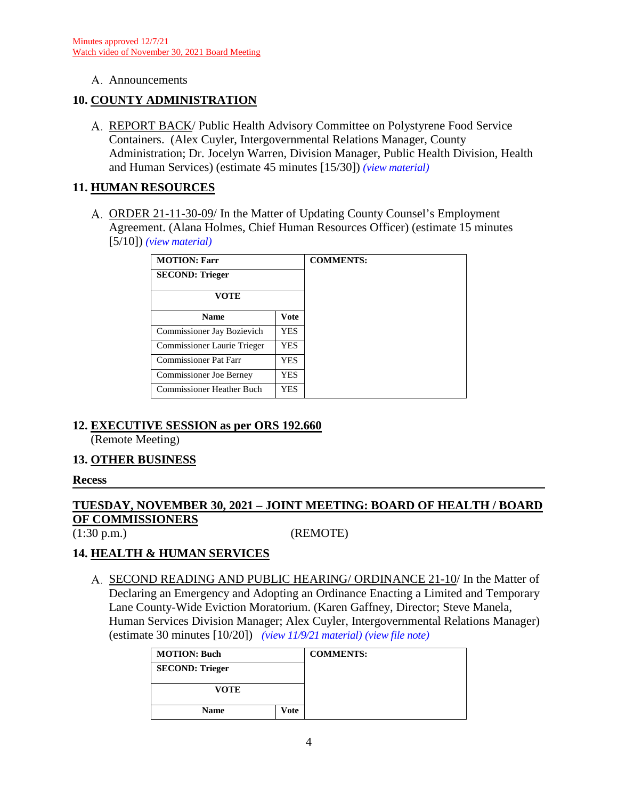A. Announcements

## **10. COUNTY ADMINISTRATION**

REPORT BACK/ Public Health Advisory Committee on Polystyrene Food Service Containers. (Alex Cuyler, Intergovernmental Relations Manager, County Administration; Dr. Jocelyn Warren, Division Manager, Public Health Division, Health and Human Services) (estimate 45 minutes [15/30]) *(view [material\)](http://www.lanecountyor.gov/UserFiles/Servers/Server_3585797/File/Government/BCC/2021/2021_AGENDAS/113021agenda/T.10.A.pdf)*

## **11. HUMAN RESOURCES**

ORDER 21-11-30-09/ In the Matter of Updating County Counsel's Employment Agreement. (Alana Holmes, Chief Human Resources Officer) (estimate 15 minutes [5/10]) *(view [material\)](http://www.lanecountyor.gov/UserFiles/Servers/Server_3585797/File/Government/BCC/2021/2021_AGENDAS/113021agenda/T.11.A.pdf)*

| <b>MOTION: Farr</b>              |             | <b>COMMENTS:</b> |
|----------------------------------|-------------|------------------|
| <b>SECOND: Trieger</b>           |             |                  |
| <b>VOTE</b>                      |             |                  |
| <b>Name</b>                      | <b>Vote</b> |                  |
| Commissioner Jay Bozievich       | YES.        |                  |
| Commissioner Laurie Trieger      | YES.        |                  |
| <b>Commissioner Pat Farr</b>     | <b>YES</b>  |                  |
| <b>Commissioner Joe Berney</b>   | YES.        |                  |
| <b>Commissioner Heather Buch</b> | YES.        |                  |

## **12. EXECUTIVE SESSION as per ORS 192.660**

(Remote Meeting)

## **13. OTHER BUSINESS**

#### **Recess**

# **TUESDAY, NOVEMBER 30, 2021 – JOINT MEETING: BOARD OF HEALTH / BOARD OF COMMISSIONERS**

(1:30 p.m.) (REMOTE)

## **14. HEALTH & HUMAN SERVICES**

A. SECOND READING AND PUBLIC HEARING/ ORDINANCE 21-10/ In the Matter of Declaring an Emergency and Adopting an Ordinance Enacting a Limited and Temporary Lane County-Wide Eviction Moratorium. (Karen Gaffney, Director; Steve Manela, Human Services Division Manager; Alex Cuyler, Intergovernmental Relations Manager) (estimate 30 minutes [10/20]) *(view [11/9/21 material\)](http://www.lanecountyor.gov/UserFiles/Servers/Server_3585797/File/Government/BCC/2021/2021_AGENDAS/110921agenda/T.4.A.pdf) (view [file note\)](http://www.lanecountyor.gov/UserFiles/Servers/Server_3585797/File/Government/BCC/2021/2021_AGENDAS/110921agenda/T.7.AFile.pdf)*

| <b>MOTION: Buch</b>    |      | <b>COMMENTS:</b> |
|------------------------|------|------------------|
| <b>SECOND: Trieger</b> |      |                  |
| VOTE                   |      |                  |
| <b>Name</b>            | Vote |                  |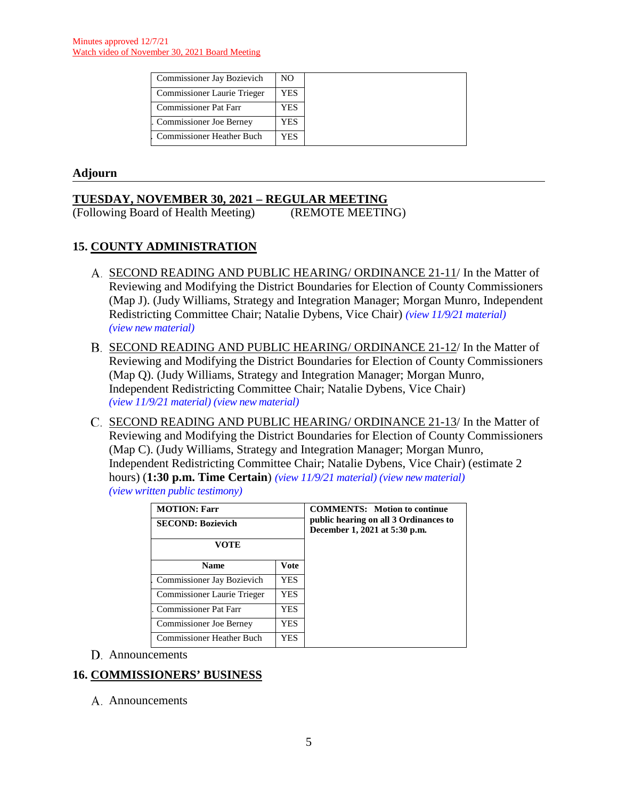| Commissioner Jay Bozievich         | NO. |
|------------------------------------|-----|
| <b>Commissioner Laurie Trieger</b> | YES |
| <b>Commissioner Pat Farr</b>       | YES |
| <b>Commissioner Joe Berney</b>     | YES |
| Commissioner Heather Buch          | YES |

## **Adjourn**

**TUESDAY, NOVEMBER 30, 2021 – REGULAR MEETING** (Following Board of Health Meeting)

## **15. COUNTY ADMINISTRATION**

- A. SECOND READING AND PUBLIC HEARING/ ORDINANCE 21-11/ In the Matter of Reviewing and Modifying the District Boundaries for Election of County Commissioners (Map J). (Judy Williams, Strategy and Integration Manager; Morgan Munro, Independent Redistricting Committee Chair; Natalie Dybens, Vice Chair) *(view [11/9/21 material\)](http://www.lanecountyor.gov/UserFiles/Servers/Server_3585797/File/Government/BCC/2021/2021_AGENDAS/110921agenda/T.12.B.pdf)  (view [new material\)](http://www.lanecountyor.gov/UserFiles/Servers/Server_3585797/File/Government/BCC/2021/2021_AGENDAS/113021agenda/T.15.A.pdf)*
- B. SECOND READING AND PUBLIC HEARING/ ORDINANCE 21-12/ In the Matter of Reviewing and Modifying the District Boundaries for Election of County Commissioners (Map Q). (Judy Williams, Strategy and Integration Manager; Morgan Munro, Independent Redistricting Committee Chair; Natalie Dybens, Vice Chair) *(view 11/9/21 [material\)](http://www.lanecountyor.gov/UserFiles/Servers/Server_3585797/File/Government/BCC/2021/2021_AGENDAS/110921agenda/T.12.C.pdf) (view [new material\)](http://www.lanecountyor.gov/UserFiles/Servers/Server_3585797/File/Government/BCC/2021/2021_AGENDAS/113021agenda/T.15.B.pdf)*
- C. SECOND READING AND PUBLIC HEARING/ ORDINANCE 21-13/ In the Matter of Reviewing and Modifying the District Boundaries for Election of County Commissioners (Map C). (Judy Williams, Strategy and Integration Manager; Morgan Munro, Independent Redistricting Committee Chair; Natalie Dybens, Vice Chair) (estimate 2 hours) (**1:30 p.m. Time Certain**) *(view 11/9/21 [material\)](http://www.lanecountyor.gov/UserFiles/Servers/Server_3585797/File/Government/BCC/2021/2021_AGENDAS/110921agenda/T.12.D.pdf) (view [new material\)](http://www.lanecountyor.gov/UserFiles/Servers/Server_3585797/File/Government/BCC/2021/2021_AGENDAS/113021agenda/T.15.C.pdf)  (view [written public testimony\)](http://www.lanecountyor.gov/UserFiles/Servers/Server_3585797/File/Government/BCC/2021/2021_AGENDAS/110921agenda/T.12.W.pdf)*

| <b>MOTION: Farr</b><br><b>SECOND: Bozievich</b><br>VOTE |             | <b>COMMENTS:</b> Motion to continue<br>public hearing on all 3 Ordinances to<br>December 1, 2021 at 5:30 p.m. |
|---------------------------------------------------------|-------------|---------------------------------------------------------------------------------------------------------------|
| <b>Name</b>                                             | <b>Vote</b> |                                                                                                               |
| Commissioner Jay Bozievich                              | YES.        |                                                                                                               |
| Commissioner Laurie Trieger                             | YES.        |                                                                                                               |
| <b>Commissioner Pat Farr</b>                            | YES.        |                                                                                                               |
| <b>Commissioner Joe Berney</b>                          | YES         |                                                                                                               |
| <b>Commissioner Heather Buch</b>                        | YES.        |                                                                                                               |

Announcements

## **16. COMMISSIONERS' BUSINESS**

A. Announcements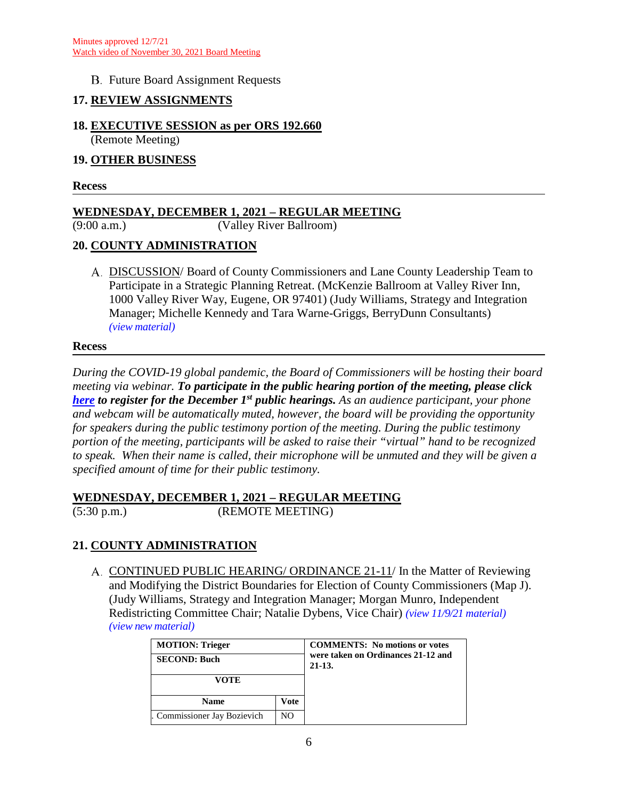## **B.** Future Board Assignment Requests

## **17. REVIEW ASSIGNMENTS**

## **18. EXECUTIVE SESSION as per ORS 192.660**

(Remote Meeting)

# **19. OTHER BUSINESS**

**Recess**

## **WEDNESDAY, DECEMBER 1, 2021 – REGULAR MEETING**

(9:00 a.m.) (Valley River Ballroom)

## **20. COUNTY ADMINISTRATION**

DISCUSSION/ Board of County Commissioners and Lane County Leadership Team to Participate in a Strategic Planning Retreat. (McKenzie Ballroom at Valley River Inn, 1000 Valley River Way, Eugene, OR 97401) (Judy Williams, Strategy and Integration Manager; Michelle Kennedy and Tara Warne-Griggs, BerryDunn Consultants) *(view [material\)](http://www.lanecountyor.gov/UserFiles/Servers/Server_3585797/File/Government/BCC/2021/2021_AGENDAS/113021agenda/T.20.A.pdf)*

#### **Recess**

*During the COVID-19 global pandemic, the Board of Commissioners will be hosting their board meeting via webinar. To participate in the public hearing portion of the meeting, please click [here](https://attendee.gotowebinar.com/register/5258705049978177037) to register for the December 1st public hearings. As an audience participant, your phone and webcam will be automatically muted, however, the board will be providing the opportunity for speakers during the public testimony portion of the meeting. During the public testimony portion of the meeting, participants will be asked to raise their "virtual" hand to be recognized to speak. When their name is called, their microphone will be unmuted and they will be given a specified amount of time for their public testimony.* 

## **WEDNESDAY, DECEMBER 1, 2021 – REGULAR MEETING**

(5:30 p.m.) (REMOTE MEETING)

## **21. COUNTY ADMINISTRATION**

CONTINUED PUBLIC HEARING/ ORDINANCE 21-11/ In the Matter of Reviewing and Modifying the District Boundaries for Election of County Commissioners (Map J). (Judy Williams, Strategy and Integration Manager; Morgan Munro, Independent Redistricting Committee Chair; Natalie Dybens, Vice Chair) *(view [11/9/21 material\)](http://www.lanecountyor.gov/UserFiles/Servers/Server_3585797/File/Government/BCC/2021/2021_AGENDAS/110921agenda/T.12.B.pdf) (view [new material\)](http://www.lanecountyor.gov/UserFiles/Servers/Server_3585797/File/Government/BCC/2021/2021_AGENDAS/113021agenda/T.15.A.pdf)*

| <b>MOTION: Trieger</b><br><b>SECOND: Buch</b> |      | <b>COMMENTS:</b> No motions or votes<br>were taken on Ordinances 21-12 and<br>$21-13.$ |
|-----------------------------------------------|------|----------------------------------------------------------------------------------------|
| VOTE                                          |      |                                                                                        |
| <b>Name</b>                                   | Vote |                                                                                        |
| Commissioner Jay Bozievich                    | NO.  |                                                                                        |